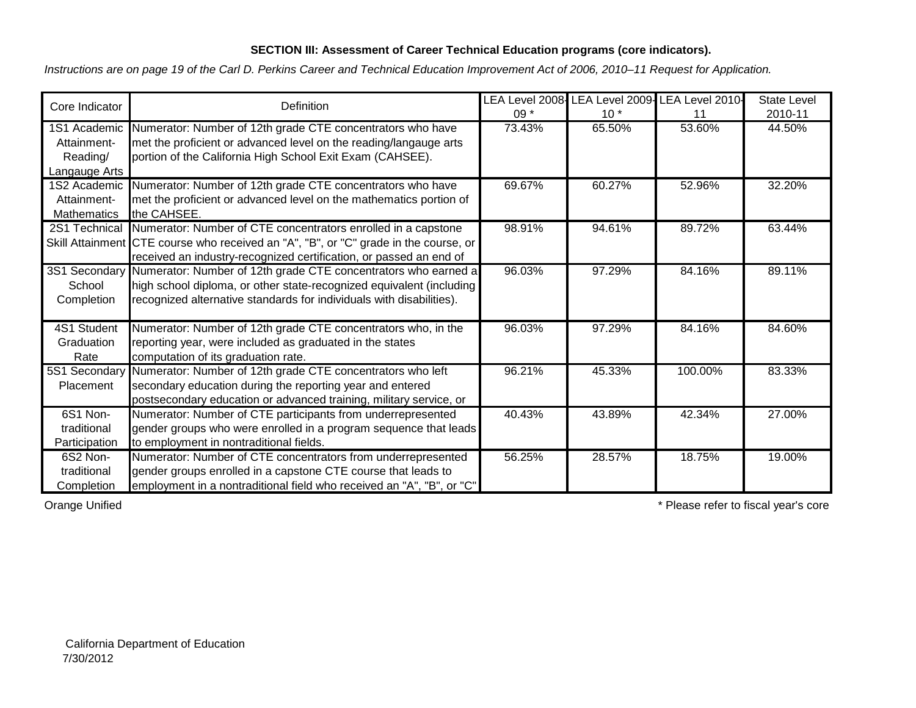## **SECTION III: Assessment of Career Technical Education programs (core indicators).**

*Instructions are on page 19 of the Carl D. Perkins Career and Technical Education Improvement Act of 2006, 2010–11 Request for Application.*

| Core Indicator     | Definition                                                                           |        |        | LEA Level 2008- LEA Level 2009- LEA Level 2010- | <b>State Level</b> |
|--------------------|--------------------------------------------------------------------------------------|--------|--------|-------------------------------------------------|--------------------|
|                    |                                                                                      | $09*$  | $10*$  | 11                                              | 2010-11            |
| 1S1 Academic       | Numerator: Number of 12th grade CTE concentrators who have                           | 73.43% | 65.50% | 53.60%                                          | 44.50%             |
| Attainment-        | met the proficient or advanced level on the reading/langauge arts                    |        |        |                                                 |                    |
| Reading/           | portion of the California High School Exit Exam (CAHSEE).                            |        |        |                                                 |                    |
| Langauge Arts      |                                                                                      |        |        |                                                 |                    |
| 1S2 Academic       | Numerator: Number of 12th grade CTE concentrators who have                           | 69.67% | 60.27% | 52.96%                                          | 32.20%             |
| Attainment-        | met the proficient or advanced level on the mathematics portion of                   |        |        |                                                 |                    |
| <b>Mathematics</b> | the CAHSEE.                                                                          |        |        |                                                 |                    |
| 2S1 Technical      | Numerator: Number of CTE concentrators enrolled in a capstone                        | 98.91% | 94.61% | 89.72%                                          | 63.44%             |
|                    | Skill Attainment CTE course who received an "A", "B", or "C" grade in the course, or |        |        |                                                 |                    |
|                    | received an industry-recognized certification, or passed an end of                   |        |        |                                                 |                    |
| 3S1 Secondary      | Numerator: Number of 12th grade CTE concentrators who earned a                       | 96.03% | 97.29% | 84.16%                                          | 89.11%             |
| School             | high school diploma, or other state-recognized equivalent (including                 |        |        |                                                 |                    |
| Completion         | recognized alternative standards for individuals with disabilities).                 |        |        |                                                 |                    |
|                    |                                                                                      |        |        |                                                 |                    |
| 4S1 Student        | Numerator: Number of 12th grade CTE concentrators who, in the                        | 96.03% | 97.29% | 84.16%                                          | 84.60%             |
| Graduation         | reporting year, were included as graduated in the states                             |        |        |                                                 |                    |
| Rate               | computation of its graduation rate.                                                  |        |        |                                                 |                    |
| 5S1 Secondary      | Numerator: Number of 12th grade CTE concentrators who left                           | 96.21% | 45.33% | 100.00%                                         | 83.33%             |
| Placement          | secondary education during the reporting year and entered                            |        |        |                                                 |                    |
|                    | postsecondary education or advanced training, military service, or                   |        |        |                                                 |                    |
| 6S1 Non-           | Numerator: Number of CTE participants from underrepresented                          | 40.43% | 43.89% | 42.34%                                          | 27.00%             |
| traditional        | gender groups who were enrolled in a program sequence that leads                     |        |        |                                                 |                    |
| Participation      | to employment in nontraditional fields.                                              |        |        |                                                 |                    |
| 6S2 Non-           | Numerator: Number of CTE concentrators from underrepresented                         | 56.25% | 28.57% | 18.75%                                          | 19.00%             |
| traditional        | gender groups enrolled in a capstone CTE course that leads to                        |        |        |                                                 |                    |
| Completion         | employment in a nontraditional field who received an "A", "B", or "C"                |        |        |                                                 |                    |

Orange Unified **\*** Please refer to fiscal year's core